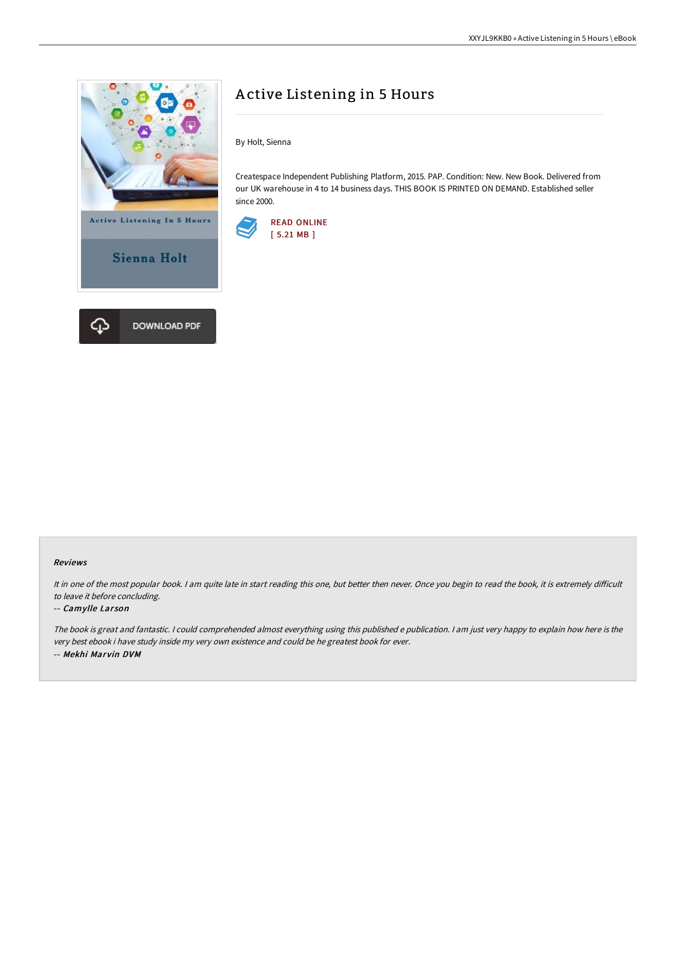

# A ctive Listening in 5 Hours

By Holt, Sienna

Createspace Independent Publishing Platform, 2015. PAP. Condition: New. New Book. Delivered from our UK warehouse in 4 to 14 business days. THIS BOOK IS PRINTED ON DEMAND. Established seller since 2000.



### Reviews

It in one of the most popular book. I am quite late in start reading this one, but better then never. Once you begin to read the book, it is extremely difficult to leave it before concluding.

### -- Camylle Larson

The book is great and fantastic. <sup>I</sup> could comprehended almost everything using this published <sup>e</sup> publication. <sup>I</sup> am just very happy to explain how here is the very best ebook i have study inside my very own existence and could be he greatest book for ever. -- Mekhi Marvin DVM